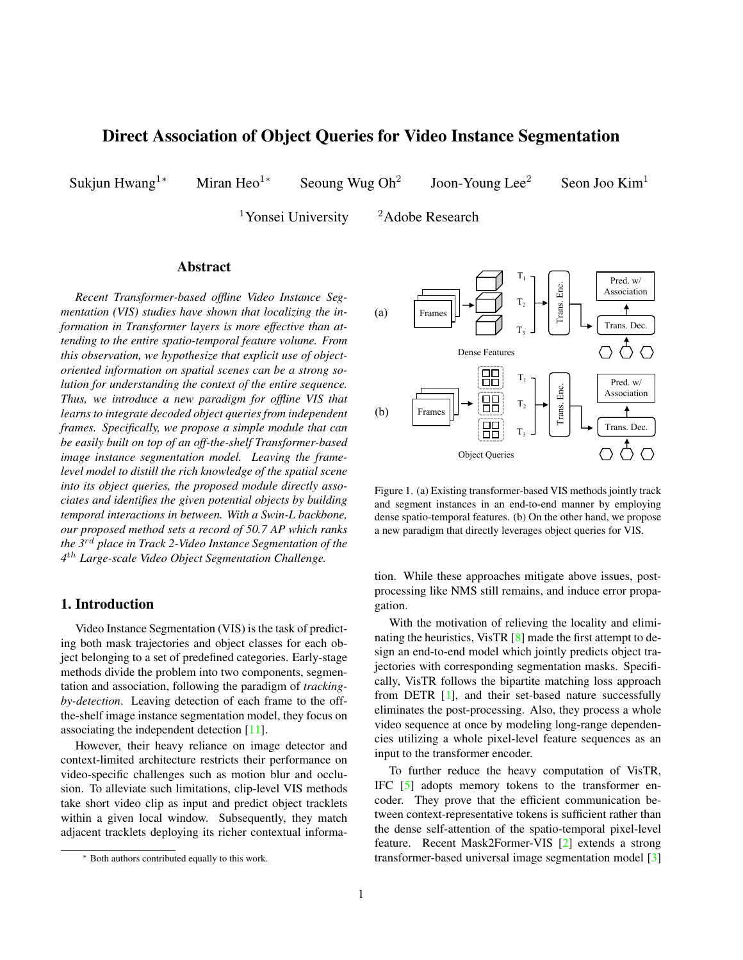# <span id="page-0-1"></span>Direct Association of Object Queries for Video Instance Segmentation

Sukjun Hwang<sup>1∗</sup> Miran Heo<sup>1∗</sup> Seoung Wug Oh<sup>2</sup>

Joon-Young Lee<sup>2</sup> Seon Joo Kim<sup>1</sup>

<sup>1</sup>Yonsei University  $\frac{2 \text{ Adobe Research}}{2}$ 

## Abstract

*Recent Transformer-based offline Video Instance Segmentation (VIS) studies have shown that localizing the information in Transformer layers is more effective than attending to the entire spatio-temporal feature volume. From this observation, we hypothesize that explicit use of objectoriented information on spatial scenes can be a strong solution for understanding the context of the entire sequence. Thus, we introduce a new paradigm for offline VIS that learns to integrate decoded object queries from independent frames. Specifically, we propose a simple module that can be easily built on top of an off-the-shelf Transformer-based image instance segmentation model. Leaving the framelevel model to distill the rich knowledge of the spatial scene into its object queries, the proposed module directly associates and identifies the given potential objects by building temporal interactions in between. With a Swin-L backbone, our proposed method sets a record of 50.7 AP which ranks the 3*rd *place in Track 2-Video Instance Segmentation of the 4* th *Large-scale Video Object Segmentation Challenge.*

#### 1. Introduction

Video Instance Segmentation (VIS) is the task of predicting both mask trajectories and object classes for each object belonging to a set of predefined categories. Early-stage methods divide the problem into two components, segmentation and association, following the paradigm of *trackingby-detection*. Leaving detection of each frame to the offthe-shelf image instance segmentation model, they focus on associating the independent detection [\[11\]](#page-3-0).

However, their heavy reliance on image detector and context-limited architecture restricts their performance on video-specific challenges such as motion blur and occlusion. To alleviate such limitations, clip-level VIS methods take short video clip as input and predict object tracklets within a given local window. Subsequently, they match adjacent tracklets deploying its richer contextual informa-

<span id="page-0-0"></span>

Figure 1. (a) Existing transformer-based VIS methods jointly track and segment instances in an end-to-end manner by employing dense spatio-temporal features. (b) On the other hand, we propose a new paradigm that directly leverages object queries for VIS.

tion. While these approaches mitigate above issues, postprocessing like NMS still remains, and induce error propagation.

With the motivation of relieving the locality and eliminating the heuristics, VisTR [\[8\]](#page-3-1) made the first attempt to design an end-to-end model which jointly predicts object trajectories with corresponding segmentation masks. Specifically, VisTR follows the bipartite matching loss approach from DETR [\[1\]](#page-3-2), and their set-based nature successfully eliminates the post-processing. Also, they process a whole video sequence at once by modeling long-range dependencies utilizing a whole pixel-level feature sequences as an input to the transformer encoder.

To further reduce the heavy computation of VisTR, IFC [\[5\]](#page-3-3) adopts memory tokens to the transformer encoder. They prove that the efficient communication between context-representative tokens is sufficient rather than the dense self-attention of the spatio-temporal pixel-level feature. Recent Mask2Former-VIS [\[2\]](#page-3-4) extends a strong transformer-based universal image segmentation model [\[3\]](#page-3-5)

<sup>∗</sup> Both authors contributed equally to this work.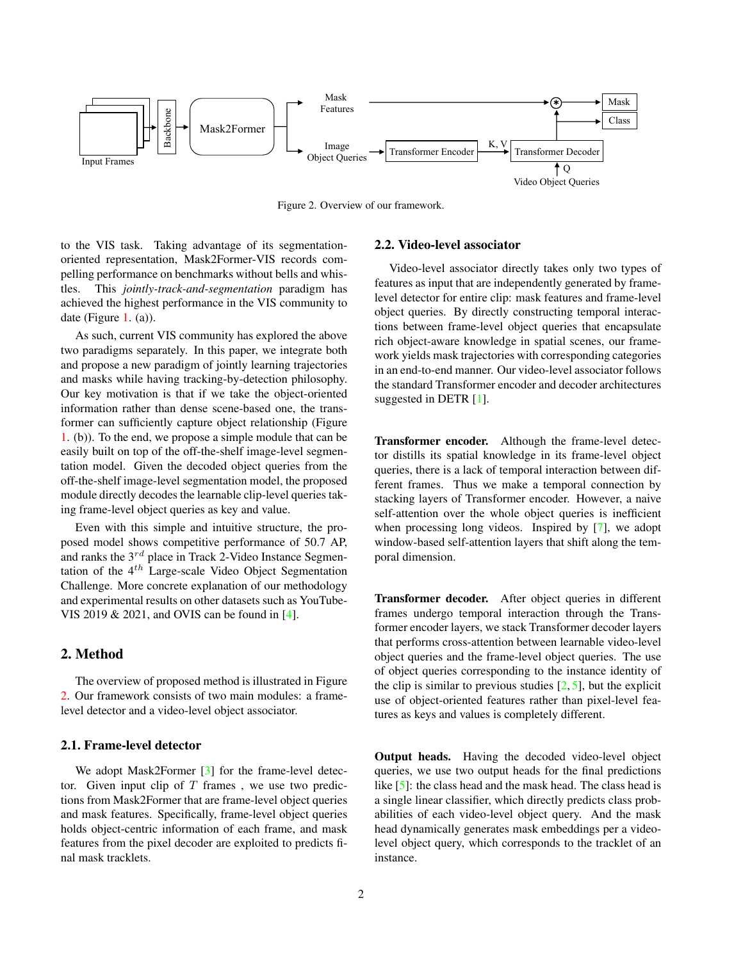<span id="page-1-1"></span><span id="page-1-0"></span>

Figure 2. Overview of our framework.

to the VIS task. Taking advantage of its segmentationoriented representation, Mask2Former-VIS records compelling performance on benchmarks without bells and whistles. This *jointly-track-and-segmentation* paradigm has achieved the highest performance in the VIS community to date (Figure [1.](#page-0-0) (a)).

As such, current VIS community has explored the above two paradigms separately. In this paper, we integrate both and propose a new paradigm of jointly learning trajectories and masks while having tracking-by-detection philosophy. Our key motivation is that if we take the object-oriented information rather than dense scene-based one, the transformer can sufficiently capture object relationship (Figure [1.](#page-0-0) (b)). To the end, we propose a simple module that can be easily built on top of the off-the-shelf image-level segmentation model. Given the decoded object queries from the off-the-shelf image-level segmentation model, the proposed module directly decodes the learnable clip-level queries taking frame-level object queries as key and value.

Even with this simple and intuitive structure, the proposed model shows competitive performance of 50.7 AP, and ranks the  $3^{rd}$  place in Track 2-Video Instance Segmentation of the  $4<sup>th</sup>$  Large-scale Video Object Segmentation Challenge. More concrete explanation of our methodology and experimental results on other datasets such as YouTube-VIS 2019 & 2021, and OVIS can be found in [\[4\]](#page-3-6).

# 2. Method

The overview of proposed method is illustrated in Figure [2.](#page-1-0) Our framework consists of two main modules: a framelevel detector and a video-level object associator.

#### 2.1. Frame-level detector

We adopt Mask2Former [\[3\]](#page-3-5) for the frame-level detector. Given input clip of  $T$  frames, we use two predictions from Mask2Former that are frame-level object queries and mask features. Specifically, frame-level object queries holds object-centric information of each frame, and mask features from the pixel decoder are exploited to predicts final mask tracklets.

#### 2.2. Video-level associator

Video-level associator directly takes only two types of features as input that are independently generated by framelevel detector for entire clip: mask features and frame-level object queries. By directly constructing temporal interactions between frame-level object queries that encapsulate rich object-aware knowledge in spatial scenes, our framework yields mask trajectories with corresponding categories in an end-to-end manner. Our video-level associator follows the standard Transformer encoder and decoder architectures suggested in DETR [\[1\]](#page-3-2).

Transformer encoder. Although the frame-level detector distills its spatial knowledge in its frame-level object queries, there is a lack of temporal interaction between different frames. Thus we make a temporal connection by stacking layers of Transformer encoder. However, a naive self-attention over the whole object queries is inefficient when processing long videos. Inspired by [\[7\]](#page-3-7), we adopt window-based self-attention layers that shift along the temporal dimension.

Transformer decoder. After object queries in different frames undergo temporal interaction through the Transformer encoder layers, we stack Transformer decoder layers that performs cross-attention between learnable video-level object queries and the frame-level object queries. The use of object queries corresponding to the instance identity of the clip is similar to previous studies  $[2, 5]$  $[2, 5]$  $[2, 5]$ , but the explicit use of object-oriented features rather than pixel-level features as keys and values is completely different.

Output heads. Having the decoded video-level object queries, we use two output heads for the final predictions like [\[5\]](#page-3-3): the class head and the mask head. The class head is a single linear classifier, which directly predicts class probabilities of each video-level object query. And the mask head dynamically generates mask embeddings per a videolevel object query, which corresponds to the tracklet of an instance.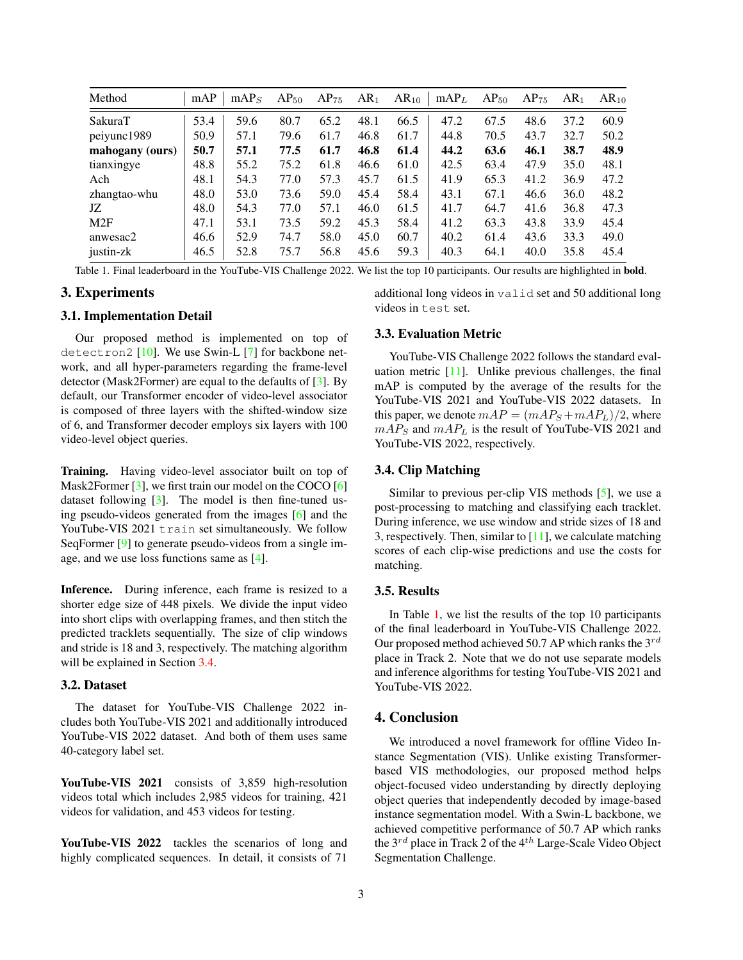<span id="page-2-2"></span><span id="page-2-1"></span>

| Method          | mAP  | mAP <sub>S</sub> | $AP_{50}$ | $AP_{75}$ | AR <sub>1</sub> | $AR_{10}$ | mAP <sub>L</sub> | $AP_{50}$ | $AP_{75}$ | AR <sub>1</sub> | $AR_{10}$ |
|-----------------|------|------------------|-----------|-----------|-----------------|-----------|------------------|-----------|-----------|-----------------|-----------|
| SakuraT         | 53.4 | 59.6             | 80.7      | 65.2      | 48.1            | 66.5      | 47.2             | 67.5      | 48.6      | 37.2            | 60.9      |
| peiyunc1989     | 50.9 | 57.1             | 79.6      | 61.7      | 46.8            | 61.7      | 44.8             | 70.5      | 43.7      | 32.7            | 50.2      |
| mahogany (ours) | 50.7 | 57.1             | 77.5      | 61.7      | 46.8            | 61.4      | 44.2             | 63.6      | 46.1      | 38.7            | 48.9      |
| tianxingye      | 48.8 | 55.2             | 75.2      | 61.8      | 46.6            | 61.0      | 42.5             | 63.4      | 47.9      | 35.0            | 48.1      |
| Ach             | 48.1 | 54.3             | 77.0      | 57.3      | 45.7            | 61.5      | 41.9             | 65.3      | 41.2      | 36.9            | 47.2      |
| zhangtao-whu    | 48.0 | 53.0             | 73.6      | 59.0      | 45.4            | 58.4      | 43.1             | 67.1      | 46.6      | 36.0            | 48.2      |
| JZ              | 48.0 | 54.3             | 77.0      | 57.1      | 46.0            | 61.5      | 41.7             | 64.7      | 41.6      | 36.8            | 47.3      |
| M2F             | 47.1 | 53.1             | 73.5      | 59.2      | 45.3            | 58.4      | 41.2             | 63.3      | 43.8      | 33.9            | 45.4      |
| anwesac2        | 46.6 | 52.9             | 74.7      | 58.0      | 45.0            | 60.7      | 40.2             | 61.4      | 43.6      | 33.3            | 49.0      |
| justin-zk       | 46.5 | 52.8             | 75.7      | 56.8      | 45.6            | 59.3      | 40.3             | 64.1      | 40.0      | 35.8            | 45.4      |

Table 1. Final leaderboard in the YouTube-VIS Challenge 2022. We list the top 10 participants. Our results are highlighted in bold.

## 3. Experiments

#### 3.1. Implementation Detail

Our proposed method is implemented on top of detectron2 [\[10\]](#page-3-8). We use Swin-L [\[7\]](#page-3-7) for backbone network, and all hyper-parameters regarding the frame-level detector (Mask2Former) are equal to the defaults of [\[3\]](#page-3-5). By default, our Transformer encoder of video-level associator is composed of three layers with the shifted-window size of 6, and Transformer decoder employs six layers with 100 video-level object queries.

Training. Having video-level associator built on top of Mask2Former  $[3]$ , we first train our model on the COCO  $[6]$ dataset following [\[3\]](#page-3-5). The model is then fine-tuned using pseudo-videos generated from the images [\[6\]](#page-3-9) and the YouTube-VIS 2021 train set simultaneously. We follow SeqFormer [\[9\]](#page-3-10) to generate pseudo-videos from a single image, and we use loss functions same as [\[4\]](#page-3-6).

Inference. During inference, each frame is resized to a shorter edge size of 448 pixels. We divide the input video into short clips with overlapping frames, and then stitch the predicted tracklets sequentially. The size of clip windows and stride is 18 and 3, respectively. The matching algorithm will be explained in Section [3.4.](#page-2-0)

## 3.2. Dataset

The dataset for YouTube-VIS Challenge 2022 includes both YouTube-VIS 2021 and additionally introduced YouTube-VIS 2022 dataset. And both of them uses same 40-category label set.

YouTube-VIS 2021 consists of 3,859 high-resolution videos total which includes 2,985 videos for training, 421 videos for validation, and 453 videos for testing.

YouTube-VIS 2022 tackles the scenarios of long and highly complicated sequences. In detail, it consists of 71

additional long videos in valid set and 50 additional long videos in test set.

## 3.3. Evaluation Metric

YouTube-VIS Challenge 2022 follows the standard evaluation metric  $[11]$ . Unlike previous challenges, the final mAP is computed by the average of the results for the YouTube-VIS 2021 and YouTube-VIS 2022 datasets. In this paper, we denote  $mAP = (mAP<sub>S</sub> + mAP<sub>L</sub>)/2$ , where  $mAP<sub>S</sub>$  and  $mAP<sub>L</sub>$  is the result of YouTube-VIS 2021 and YouTube-VIS 2022, respectively.

#### <span id="page-2-0"></span>3.4. Clip Matching

Similar to previous per-clip VIS methods [\[5\]](#page-3-3), we use a post-processing to matching and classifying each tracklet. During inference, we use window and stride sizes of 18 and 3, respectively. Then, similar to  $[11]$ , we calculate matching scores of each clip-wise predictions and use the costs for matching.

#### 3.5. Results

In Table [1,](#page-2-1) we list the results of the top 10 participants of the final leaderboard in YouTube-VIS Challenge 2022. Our proposed method achieved 50.7 AP which ranks the  $3^{rd}$ place in Track 2. Note that we do not use separate models and inference algorithms for testing YouTube-VIS 2021 and YouTube-VIS 2022.

## 4. Conclusion

We introduced a novel framework for offline Video Instance Segmentation (VIS). Unlike existing Transformerbased VIS methodologies, our proposed method helps object-focused video understanding by directly deploying object queries that independently decoded by image-based instance segmentation model. With a Swin-L backbone, we achieved competitive performance of 50.7 AP which ranks the  $3^{rd}$  place in Track 2 of the  $4^{th}$  Large-Scale Video Object Segmentation Challenge.